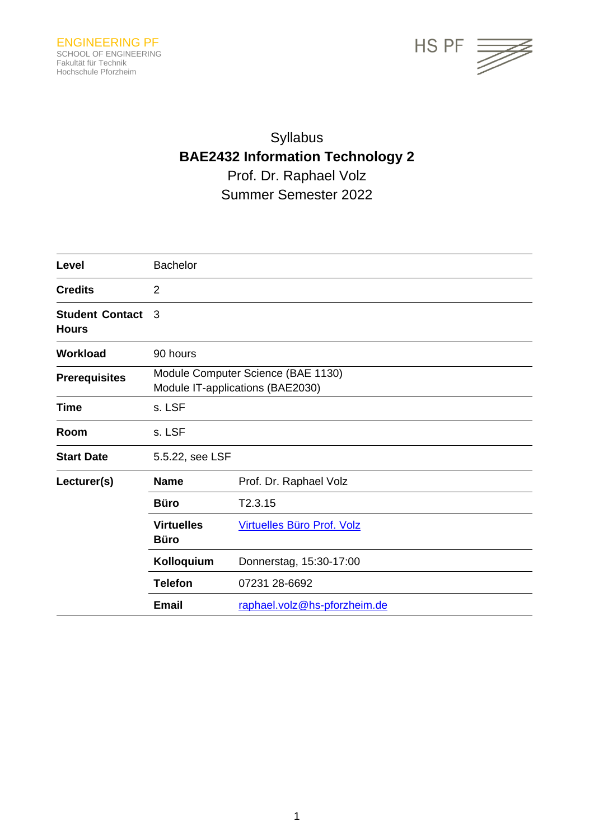

# Syllabus **BAE2432 Information Technology 2** Prof. Dr. Raphael Volz Summer Semester 2022

| Level                                  | <b>Bachelor</b>                                                        |                              |
|----------------------------------------|------------------------------------------------------------------------|------------------------------|
| <b>Credits</b>                         | $\overline{2}$                                                         |                              |
| <b>Student Contact</b><br><b>Hours</b> | 3                                                                      |                              |
| <b>Workload</b>                        | 90 hours                                                               |                              |
| <b>Prerequisites</b>                   | Module Computer Science (BAE 1130)<br>Module IT-applications (BAE2030) |                              |
| <b>Time</b>                            | s. LSF                                                                 |                              |
| Room                                   | s. LSF                                                                 |                              |
| <b>Start Date</b>                      | 5.5.22, see LSF                                                        |                              |
| Lecturer(s)                            | <b>Name</b>                                                            | Prof. Dr. Raphael Volz       |
|                                        | <b>Büro</b>                                                            | T2.3.15                      |
|                                        | <b>Virtuelles</b><br><b>Büro</b>                                       | Virtuelles Büro Prof. Volz   |
|                                        | Kolloquium                                                             | Donnerstag, 15:30-17:00      |
|                                        | <b>Telefon</b>                                                         | 07231 28-6692                |
|                                        | <b>Email</b>                                                           | raphael.volz@hs-pforzheim.de |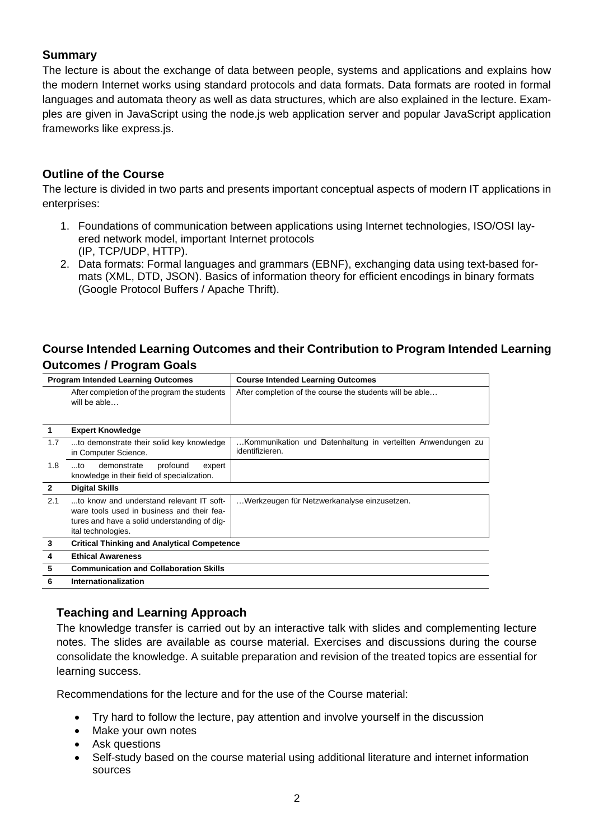# **Summary**

The lecture is about the exchange of data between people, systems and applications and explains how the modern Internet works using standard protocols and data formats. Data formats are rooted in formal languages and automata theory as well as data structures, which are also explained in the lecture. Examples are given in JavaScript using the node.js web application server and popular JavaScript application frameworks like express.js.

# **Outline of the Course**

The lecture is divided in two parts and presents important conceptual aspects of modern IT applications in enterprises:

- 1. Foundations of communication between applications using Internet technologies, ISO/OSI layered network model, important Internet protocols (IP, TCP/UDP, HTTP).
- 2. Data formats: Formal languages and grammars (EBNF), exchanging data using text-based formats (XML, DTD, JSON). Basics of information theory for efficient encodings in binary formats (Google Protocol Buffers / Apache Thrift).

# **Course Intended Learning Outcomes and their Contribution to Program Intended Learning Outcomes / Program Goals**

| <b>Program Intended Learning Outcomes</b> |                                                                                                                                                              | <b>Course Intended Learning Outcomes</b>                                       |  |  |
|-------------------------------------------|--------------------------------------------------------------------------------------------------------------------------------------------------------------|--------------------------------------------------------------------------------|--|--|
|                                           | After completion of the program the students<br>will be able                                                                                                 | After completion of the course the students will be able                       |  |  |
| 1                                         | <b>Expert Knowledge</b>                                                                                                                                      |                                                                                |  |  |
| 1.7                                       | to demonstrate their solid key knowledge<br>in Computer Science.                                                                                             | Kommunikation und Datenhaltung in verteilten Anwendungen zu<br>identifizieren. |  |  |
| 1.8                                       | profound<br>demonstrate<br>$$ to<br>expert<br>knowledge in their field of specialization.                                                                    |                                                                                |  |  |
| $\overline{2}$                            | <b>Digital Skills</b>                                                                                                                                        |                                                                                |  |  |
| 2.1                                       | to know and understand relevant IT soft-<br>ware tools used in business and their fea-<br>tures and have a solid understanding of dig-<br>ital technologies. | Werkzeugen für Netzwerkanalyse einzusetzen.                                    |  |  |
| $\mathbf{3}$                              | <b>Critical Thinking and Analytical Competence</b>                                                                                                           |                                                                                |  |  |
| 4                                         | <b>Ethical Awareness</b>                                                                                                                                     |                                                                                |  |  |
| 5                                         | <b>Communication and Collaboration Skills</b>                                                                                                                |                                                                                |  |  |
| 6                                         | Internationalization                                                                                                                                         |                                                                                |  |  |

### **Teaching and Learning Approach**

The knowledge transfer is carried out by an interactive talk with slides and complementing lecture notes. The slides are available as course material. Exercises and discussions during the course consolidate the knowledge. A suitable preparation and revision of the treated topics are essential for learning success.

Recommendations for the lecture and for the use of the Course material:

- Try hard to follow the lecture, pay attention and involve yourself in the discussion
- Make your own notes
- Ask questions
- Self-study based on the course material using additional literature and internet information sources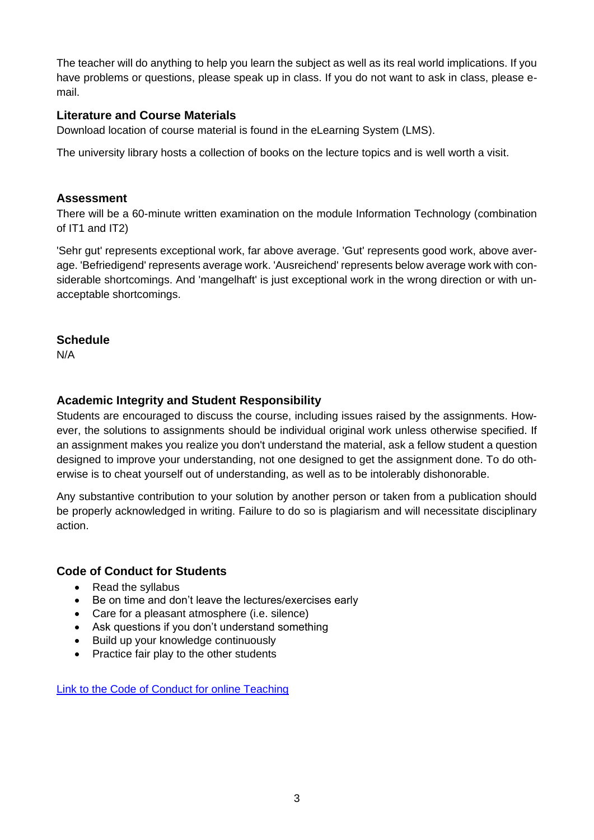The teacher will do anything to help you learn the subject as well as its real world implications. If you have problems or questions, please speak up in class. If you do not want to ask in class, please email.

## **Literature and Course Materials**

Download location of course material is found in the eLearning System (LMS).

The university library hosts a collection of books on the lecture topics and is well worth a visit.

### **Assessment**

There will be a 60-minute written examination on the module Information Technology (combination of IT1 and IT2)

'Sehr gut' represents exceptional work, far above average. 'Gut' represents good work, above average. 'Befriedigend' represents average work. 'Ausreichend' represents below average work with considerable shortcomings. And 'mangelhaft' is just exceptional work in the wrong direction or with unacceptable shortcomings.

# **Schedule**

N/A

# **Academic Integrity and Student Responsibility**

Students are encouraged to discuss the course, including issues raised by the assignments. However, the solutions to assignments should be individual original work unless otherwise specified. If an assignment makes you realize you don't understand the material, ask a fellow student a question designed to improve your understanding, not one designed to get the assignment done. To do otherwise is to cheat yourself out of understanding, as well as to be intolerably dishonorable.

Any substantive contribution to your solution by another person or taken from a publication should be properly acknowledged in writing. Failure to do so is plagiarism and will necessitate disciplinary action.

### **Code of Conduct for Students**

- Read the syllabus
- Be on time and don't leave the lectures/exercises early
- Care for a pleasant atmosphere (i.e. silence)
- Ask questions if you don't understand something
- Build up your knowledge continuously
- Practice fair play to the other students

[Link to the Code of Conduct for online Teaching](https://e-campus.hs-pforzheim.de/business_pf/digital_learning_tools_links)